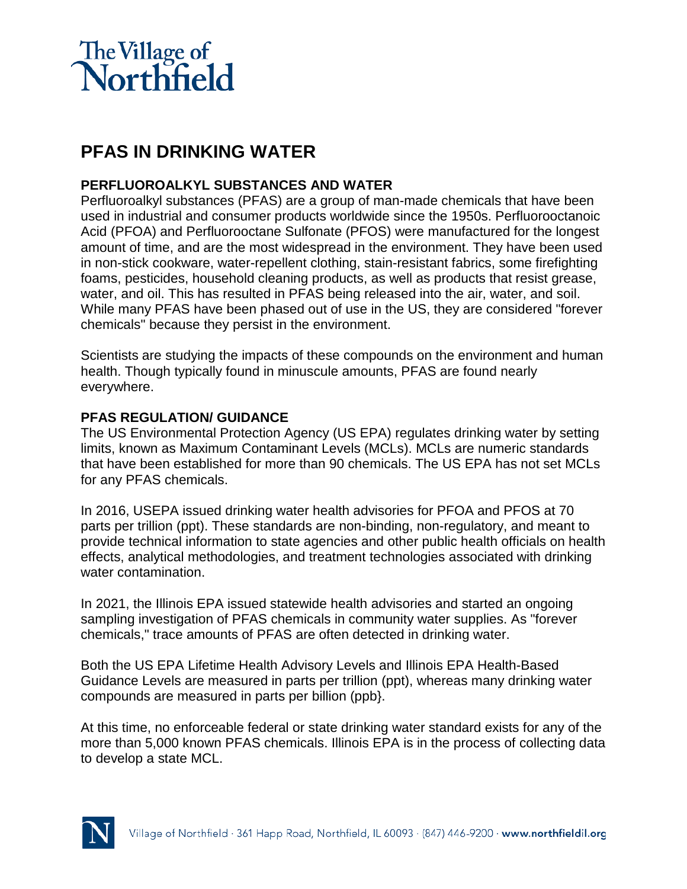

# **PFAS IN DRINKING WATER**

## **PERFLUOROALKYL SUBSTANCES AND WATER**

Perfluoroalkyl substances (PFAS) are a group of man-made chemicals that have been used in industrial and consumer products worldwide since the 1950s. Perfluorooctanoic Acid (PFOA) and Perfluorooctane Sulfonate (PFOS) were manufactured for the longest amount of time, and are the most widespread in the environment. They have been used in non-stick cookware, water-repellent clothing, stain-resistant fabrics, some firefighting foams, pesticides, household cleaning products, as well as products that resist grease, water, and oil. This has resulted in PFAS being released into the air, water, and soil. While many PFAS have been phased out of use in the US, they are considered "forever chemicals" because they persist in the environment.

Scientists are studying the impacts of these compounds on the environment and human health. Though typically found in minuscule amounts, PFAS are found nearly everywhere.

### **PFAS REGULATION/ GUIDANCE**

The US Environmental Protection Agency (US EPA) regulates drinking water by setting limits, known as Maximum Contaminant Levels (MCLs). MCLs are numeric standards that have been established for more than 90 chemicals. The US EPA has not set MCLs for any PFAS chemicals.

In 2016, USEPA issued drinking water health advisories for PFOA and PFOS at 70 parts per trillion (ppt). These standards are non-binding, non-regulatory, and meant to provide technical information to state agencies and other public health officials on health effects, analytical methodologies, and treatment technologies associated with drinking water contamination.

In 2021, the Illinois EPA issued statewide health advisories and started an ongoing sampling investigation of PFAS chemicals in community water supplies. As "forever chemicals," trace amounts of PFAS are often detected in drinking water.

Both the US EPA Lifetime Health Advisory Levels and Illinois EPA Health-Based Guidance Levels are measured in parts per trillion (ppt), whereas many drinking water compounds are measured in parts per billion (ppb}.

At this time, no enforceable federal or state drinking water standard exists for any of the more than 5,000 known PFAS chemicals. Illinois EPA is in the process of collecting data to develop a state MCL.

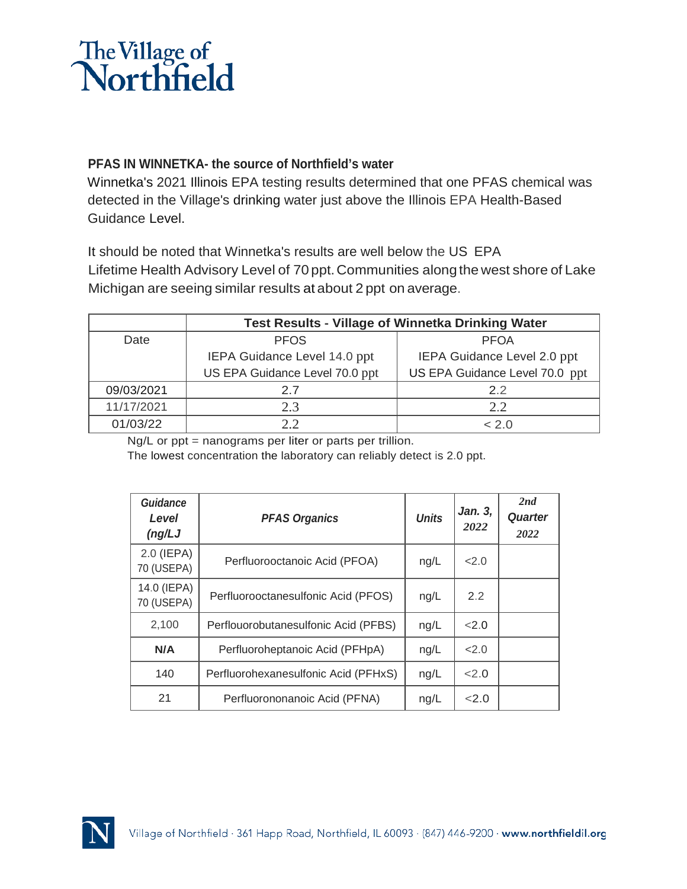

### **PFAS IN WINNETKA- the source of Northfield's water**

Winnetka's 2021 Illinois EPA testing results determined that one PFAS chemical was detected in the Village's drinking water just above the Illinois EPA Health-Based Guidance Level.

It should be noted that Winnetka's results are well below the US EPA Lifetime Health Advisory Level of 70 ppt.Communities alongthe west shore of Lake Michigan are seeing similar results at about 2 ppt on average.

|            | <b>Test Results - Village of Winnetka Drinking Water</b> |                                |  |  |
|------------|----------------------------------------------------------|--------------------------------|--|--|
| Date       | <b>PFOS</b>                                              | <b>PFOA</b>                    |  |  |
|            | IEPA Guidance Level 14.0 ppt                             | IEPA Guidance Level 2.0 ppt    |  |  |
|            | US EPA Guidance Level 70.0 ppt                           | US EPA Guidance Level 70.0 ppt |  |  |
| 09/03/2021 | 2.7                                                      | 2.2                            |  |  |
| 11/17/2021 | 2.3                                                      | 2.2                            |  |  |
| 01/03/22   | 2.2                                                      | < 2 0                          |  |  |

Ng/L or ppt = nanograms per liter or parts per trillion.

The lowest concentration the laboratory can reliably detect is 2.0 ppt.

| <b>Guidance</b><br>Level<br>(ng/LJ) | <b>PFAS Organics</b>                 | <b>Units</b> | Jan. 3,<br>2022 | 2nd<br><b>Quarter</b><br>2022 |
|-------------------------------------|--------------------------------------|--------------|-----------------|-------------------------------|
| $2.0$ (IEPA)<br>70 (USEPA)          | Perfluorooctanoic Acid (PFOA)        | ng/L         | 22.0            |                               |
| 14.0 (IEPA)<br>70 (USEPA)           | Perfluorooctanesulfonic Acid (PFOS)  | ng/L         | 2.2             |                               |
| 2,100                               | Perflouorobutanesulfonic Acid (PFBS) | ng/L         | 2.0             |                               |
| N/A                                 | Perfluoroheptanoic Acid (PFHpA)      | ng/L         | 22.0            |                               |
| 140                                 | Perfluorohexanesulfonic Acid (PFHxS) | ng/L         | 22.0            |                               |
| 21                                  | Perfluorononanoic Acid (PFNA)        | ng/L         | 22.0            |                               |

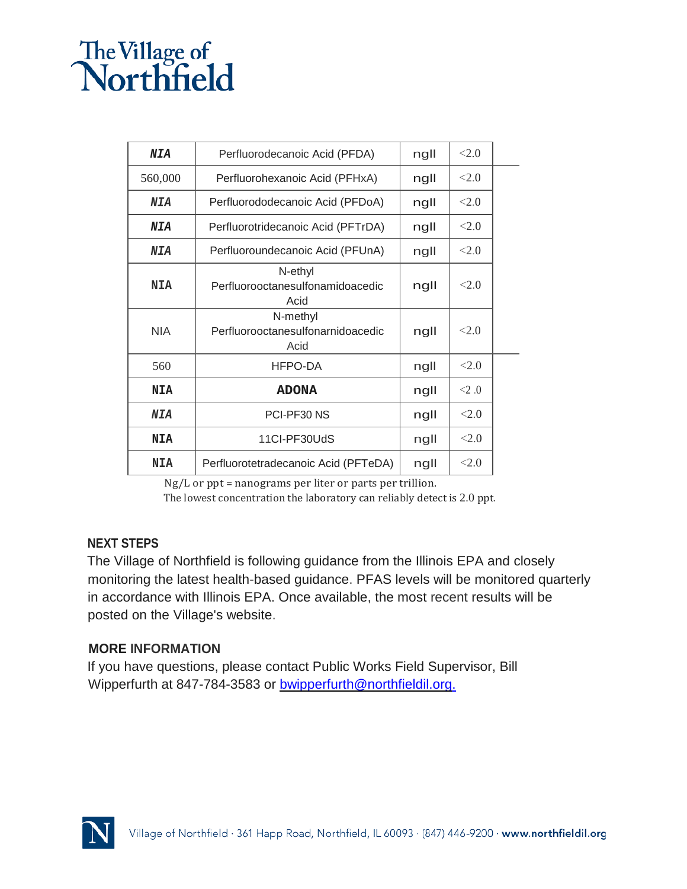# The Village of<br>Northfield

| NIA        | Perfluorodecanoic Acid (PFDA)                         | ngll | <2.0    |  |
|------------|-------------------------------------------------------|------|---------|--|
| 560,000    | Perfluorohexanoic Acid (PFHxA)                        | ngll | <2.0    |  |
| NIA        | Perfluorododecanoic Acid (PFDoA)                      | ngll | <2.0    |  |
| NIA        | Perfluorotridecanoic Acid (PFTrDA)                    | ngll | < 2.0   |  |
| NIA        | Perfluoroundecanoic Acid (PFUnA)                      | ngll | < 2.0   |  |
| <b>NIA</b> | N-ethyl<br>Perfluorooctanesulfonamidoacedic<br>Acid   | ngll | <2.0    |  |
| <b>NIA</b> | N-methyl<br>Perfluorooctanesulfonarnidoacedic<br>Acid | ngll | <2.0    |  |
| 560        | HFPO-DA                                               | ngll | <2.0    |  |
| <b>NIA</b> | <b>ADONA</b>                                          | ngll | $<$ 2.0 |  |
| NIA        | PCI-PF30 NS                                           | ngll | <2.0    |  |
| <b>NIA</b> | 11CI-PF30UdS                                          | ngll | < 2.0   |  |
| <b>NIA</b> | Perfluorotetradecanoic Acid (PFTeDA)                  | ngll | < 2.0   |  |

Ng/L or ppt = nanograms per liter or parts per trillion.

The lowest concentration the laboratory can reliably detect is 2.0 ppt.

### **NEXT STEPS**

The Village of Northfield is following guidance from the Illinois EPA and closely monitoring the latest health-based guidance. PFAS levels will be monitored quarterly in accordance with Illinois EPA. Once available, the most recent results will be posted on the Village's website.

### **MORE INFORMATION**

If you have questions, please contact Public Works Field Supervisor, Bill Wipperfurth at 847-784-3583 or [bwipperfurth@northfieldil.org.](mailto:bwipperfurth@northfieldil.org.)